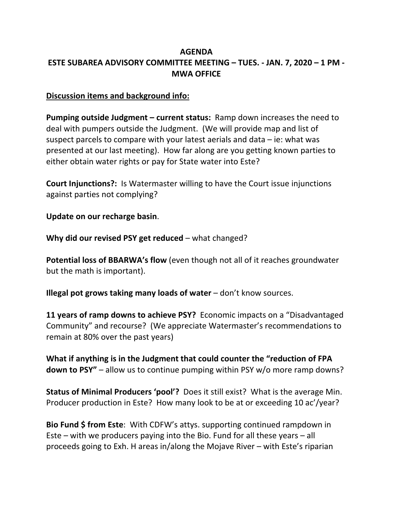## **AGENDA ESTE SUBAREA ADVISORY COMMITTEE MEETING – TUES. ‐ JAN. 7, 2020 – 1 PM ‐ MWA OFFICE**

## **Discussion items and background info:**

**Pumping outside Judgment – current status:** Ramp down increases the need to deal with pumpers outside the Judgment. (We will provide map and list of suspect parcels to compare with your latest aerials and data – ie: what was presented at our last meeting). How far along are you getting known parties to either obtain water rights or pay for State water into Este?

**Court Injunctions?:** Is Watermaster willing to have the Court issue injunctions against parties not complying?

**Update on our recharge basin**.

**Why did our revised PSY get reduced** – what changed?

**Potential loss of BBARWA's flow** (even though not all of it reaches groundwater but the math is important).

**Illegal pot grows taking many loads of water** – don't know sources.

**11 years of ramp downs to achieve PSY?** Economic impacts on a "Disadvantaged Community" and recourse? (We appreciate Watermaster's recommendations to remain at 80% over the past years)

**What if anything is in the Judgment that could counter the "reduction of FPA down to PSY"** – allow us to continue pumping within PSY w/o more ramp downs?

**Status of Minimal Producers 'pool'?** Does it still exist? What is the average Min. Producer production in Este? How many look to be at or exceeding 10 ac'/year?

**Bio Fund \$ from Este**: With CDFW's attys. supporting continued rampdown in Este – with we producers paying into the Bio. Fund for all these years – all proceeds going to Exh. H areas in/along the Mojave River – with Este's riparian